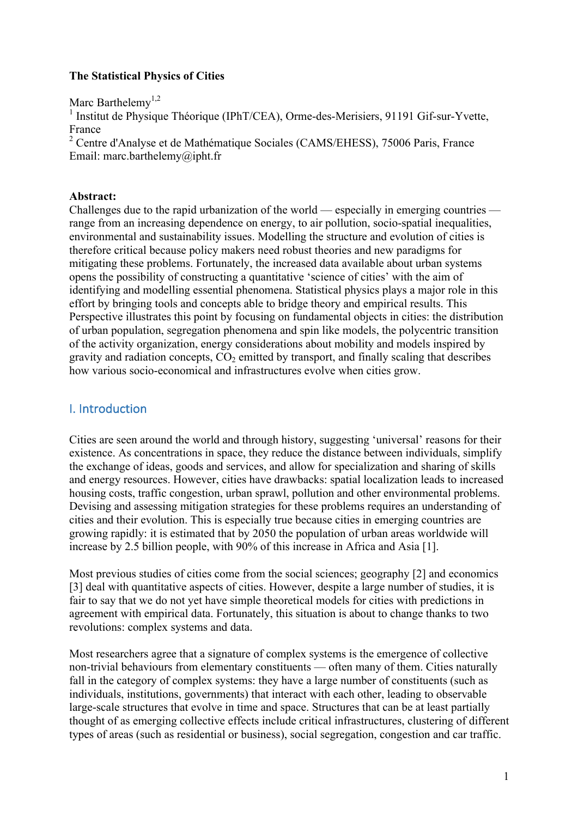## **The Statistical Physics of Cities**

Marc Barthelemv<sup>1,2</sup>

 $<sup>1</sup>$  Institut de Physique Théorique (IPhT/CEA), Orme-des-Merisiers, 91191 Gif-sur-Yvette,</sup> France

<sup>2</sup> Centre d'Analyse et de Mathématique Sociales (CAMS/EHESS), 75006 Paris, France Email: marc.barthelemy@ipht.fr

### **Abstract:**

Challenges due to the rapid urbanization of the world — especially in emerging countries range from an increasing dependence on energy, to air pollution, socio-spatial inequalities, environmental and sustainability issues. Modelling the structure and evolution of cities is therefore critical because policy makers need robust theories and new paradigms for mitigating these problems. Fortunately, the increased data available about urban systems opens the possibility of constructing a quantitative 'science of cities' with the aim of identifying and modelling essential phenomena. Statistical physics plays a major role in this effort by bringing tools and concepts able to bridge theory and empirical results. This Perspective illustrates this point by focusing on fundamental objects in cities: the distribution of urban population, segregation phenomena and spin like models, the polycentric transition of the activity organization, energy considerations about mobility and models inspired by gravity and radiation concepts,  $CO<sub>2</sub>$  emitted by transport, and finally scaling that describes how various socio-economical and infrastructures evolve when cities grow.

## I. Introduction

Cities are seen around the world and through history, suggesting 'universal' reasons for their existence. As concentrations in space, they reduce the distance between individuals, simplify the exchange of ideas, goods and services, and allow for specialization and sharing of skills and energy resources. However, cities have drawbacks: spatial localization leads to increased housing costs, traffic congestion, urban sprawl, pollution and other environmental problems. Devising and assessing mitigation strategies for these problems requires an understanding of cities and their evolution. This is especially true because cities in emerging countries are growing rapidly: it is estimated that by 2050 the population of urban areas worldwide will increase by 2.5 billion people, with 90% of this increase in Africa and Asia [1].

Most previous studies of cities come from the social sciences; geography [2] and economics [3] deal with quantitative aspects of cities. However, despite a large number of studies, it is fair to say that we do not yet have simple theoretical models for cities with predictions in agreement with empirical data. Fortunately, this situation is about to change thanks to two revolutions: complex systems and data.

Most researchers agree that a signature of complex systems is the emergence of collective non-trivial behaviours from elementary constituents — often many of them. Cities naturally fall in the category of complex systems: they have a large number of constituents (such as individuals, institutions, governments) that interact with each other, leading to observable large-scale structures that evolve in time and space. Structures that can be at least partially thought of as emerging collective effects include critical infrastructures, clustering of different types of areas (such as residential or business), social segregation, congestion and car traffic.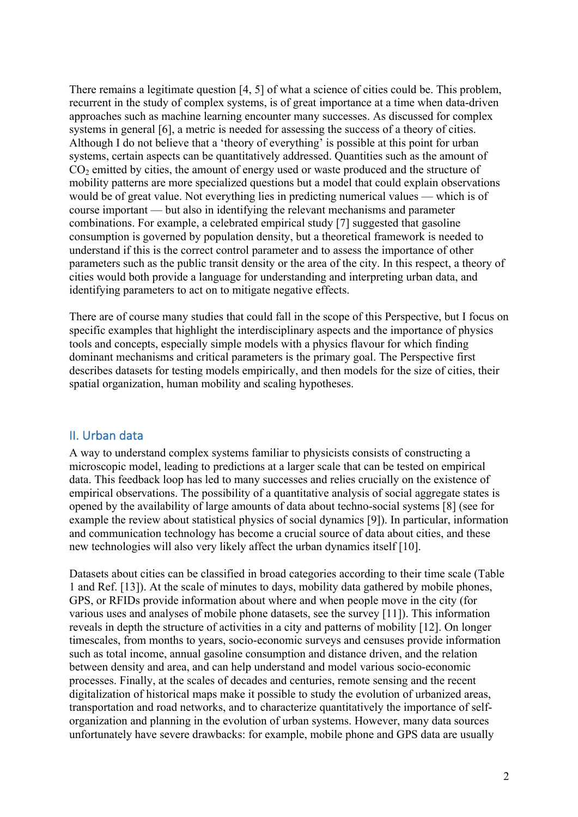There remains a legitimate question [4, 5] of what a science of cities could be. This problem, recurrent in the study of complex systems, is of great importance at a time when data-driven approaches such as machine learning encounter many successes. As discussed for complex systems in general [6], a metric is needed for assessing the success of a theory of cities. Although I do not believe that a 'theory of everything' is possible at this point for urban systems, certain aspects can be quantitatively addressed. Quantities such as the amount of  $CO<sub>2</sub>$  emitted by cities, the amount of energy used or waste produced and the structure of mobility patterns are more specialized questions but a model that could explain observations would be of great value. Not everything lies in predicting numerical values — which is of course important — but also in identifying the relevant mechanisms and parameter combinations. For example, a celebrated empirical study [7] suggested that gasoline consumption is governed by population density, but a theoretical framework is needed to understand if this is the correct control parameter and to assess the importance of other parameters such as the public transit density or the area of the city. In this respect, a theory of cities would both provide a language for understanding and interpreting urban data, and identifying parameters to act on to mitigate negative effects.

There are of course many studies that could fall in the scope of this Perspective, but I focus on specific examples that highlight the interdisciplinary aspects and the importance of physics tools and concepts, especially simple models with a physics flavour for which finding dominant mechanisms and critical parameters is the primary goal. The Perspective first describes datasets for testing models empirically, and then models for the size of cities, their spatial organization, human mobility and scaling hypotheses.

## II. Urban data

A way to understand complex systems familiar to physicists consists of constructing a microscopic model, leading to predictions at a larger scale that can be tested on empirical data. This feedback loop has led to many successes and relies crucially on the existence of empirical observations. The possibility of a quantitative analysis of social aggregate states is opened by the availability of large amounts of data about techno-social systems [8] (see for example the review about statistical physics of social dynamics [9]). In particular, information and communication technology has become a crucial source of data about cities, and these new technologies will also very likely affect the urban dynamics itself [10].

Datasets about cities can be classified in broad categories according to their time scale (Table 1 and Ref. [13]). At the scale of minutes to days, mobility data gathered by mobile phones, GPS, or RFIDs provide information about where and when people move in the city (for various uses and analyses of mobile phone datasets, see the survey [11]). This information reveals in depth the structure of activities in a city and patterns of mobility [12]. On longer timescales, from months to years, socio-economic surveys and censuses provide information such as total income, annual gasoline consumption and distance driven, and the relation between density and area, and can help understand and model various socio-economic processes. Finally, at the scales of decades and centuries, remote sensing and the recent digitalization of historical maps make it possible to study the evolution of urbanized areas, transportation and road networks, and to characterize quantitatively the importance of selforganization and planning in the evolution of urban systems. However, many data sources unfortunately have severe drawbacks: for example, mobile phone and GPS data are usually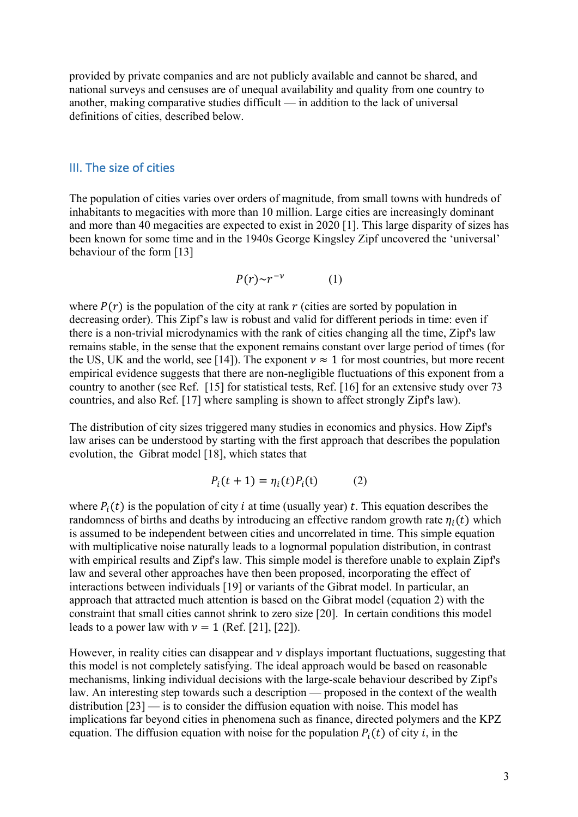provided by private companies and are not publicly available and cannot be shared, and national surveys and censuses are of unequal availability and quality from one country to another, making comparative studies difficult — in addition to the lack of universal definitions of cities, described below.

#### III. The size of cities

The population of cities varies over orders of magnitude, from small towns with hundreds of inhabitants to megacities with more than 10 million. Large cities are increasingly dominant and more than 40 megacities are expected to exist in 2020 [1]. This large disparity of sizes has been known for some time and in the 1940s George Kingsley Zipf uncovered the 'universal' behaviour of the form [13]

$$
P(r) \sim r^{-\nu} \tag{1}
$$

where  $P(r)$  is the population of the city at rank r (cities are sorted by population in decreasing order). This Zipf's law is robust and valid for different periods in time: even if there is a non-trivial microdynamics with the rank of cities changing all the time, Zipf's law remains stable, in the sense that the exponent remains constant over large period of times (for the US, UK and the world, see [14]). The exponent  $v \approx 1$  for most countries, but more recent empirical evidence suggests that there are non-negligible fluctuations of this exponent from a country to another (see Ref. [15] for statistical tests, Ref. [16] for an extensive study over 73 countries, and also Ref. [17] where sampling is shown to affect strongly Zipf's law).

The distribution of city sizes triggered many studies in economics and physics. How Zipf's law arises can be understood by starting with the first approach that describes the population evolution, the Gibrat model [18], which states that

$$
P_i(t+1) = \eta_i(t)P_i(t) \tag{2}
$$

where  $P_i(t)$  is the population of city *i* at time (usually year) *t*. This equation describes the randomness of births and deaths by introducing an effective random growth rate  $\eta_i(t)$  which is assumed to be independent between cities and uncorrelated in time. This simple equation with multiplicative noise naturally leads to a lognormal population distribution, in contrast with empirical results and Zipf's law. This simple model is therefore unable to explain Zipf's law and several other approaches have then been proposed, incorporating the effect of interactions between individuals [19] or variants of the Gibrat model. In particular, an approach that attracted much attention is based on the Gibrat model (equation 2) with the constraint that small cities cannot shrink to zero size [20]. In certain conditions this model leads to a power law with  $v = 1$  (Ref. [21], [22]).

However, in reality cities can disappear and  $\nu$  displays important fluctuations, suggesting that this model is not completely satisfying. The ideal approach would be based on reasonable mechanisms, linking individual decisions with the large-scale behaviour described by Zipf's law. An interesting step towards such a description — proposed in the context of the wealth distribution [23] — is to consider the diffusion equation with noise. This model has implications far beyond cities in phenomena such as finance, directed polymers and the KPZ equation. The diffusion equation with noise for the population  $P_i(t)$  of city i, in the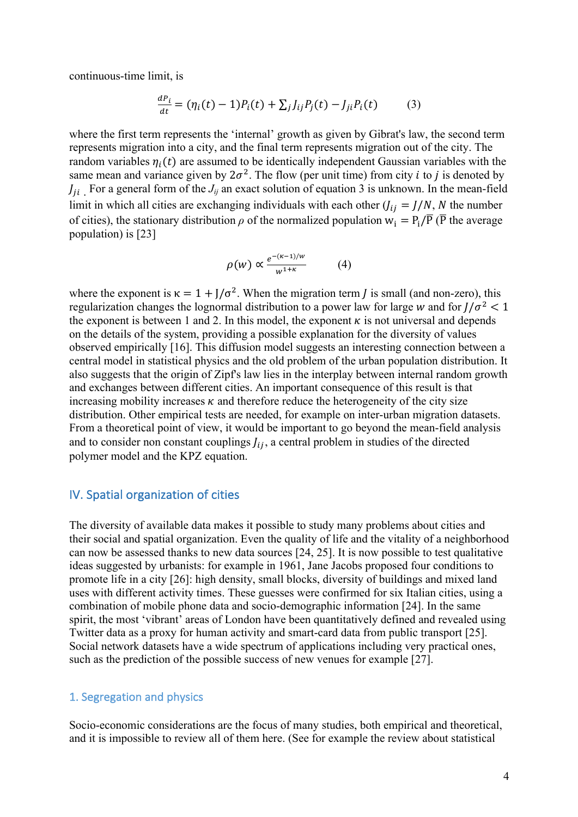continuous-time limit, is

$$
\frac{dP_i}{dt} = (\eta_i(t) - 1)P_i(t) + \sum_j J_{ij}P_j(t) - J_{ji}P_i(t) \tag{3}
$$

where the first term represents the 'internal' growth as given by Gibrat's law, the second term represents migration into a city, and the final term represents migration out of the city. The random variables  $\eta_i(t)$  are assumed to be identically independent Gaussian variables with the same mean and variance given by  $2\sigma^2$ . The flow (per unit time) from city *i* to *j* is denoted by  $J_{ii}$  For a general form of the  $J_{ij}$  an exact solution of equation 3 is unknown. In the mean-field limit in which all cities are exchanging individuals with each other  $(i_{ij} = J/N, N$  the number of cities), the stationary distribution  $\rho$  of the normalized population  $w_i = P_i/\overline{P}$  ( $\overline{P}$  the average population) is [23]

$$
\rho(w) \propto \frac{e^{-(\kappa - 1)/w}}{w^{1+\kappa}} \tag{4}
$$

where the exponent is  $\kappa = 1 + J/\sigma^2$ . When the migration term *J* is small (and non-zero), this regularization changes the lognormal distribution to a power law for large w and for  $1/\sigma^2 < 1$ the exponent is between 1 and 2. In this model, the exponent  $\kappa$  is not universal and depends on the details of the system, providing a possible explanation for the diversity of values observed empirically [16]. This diffusion model suggests an interesting connection between a central model in statistical physics and the old problem of the urban population distribution. It also suggests that the origin of Zipf's law lies in the interplay between internal random growth and exchanges between different cities. An important consequence of this result is that increasing mobility increases  $\kappa$  and therefore reduce the heterogeneity of the city size distribution. Other empirical tests are needed, for example on inter-urban migration datasets. From a theoretical point of view, it would be important to go beyond the mean-field analysis and to consider non constant couplings  $f_{ij}$ , a central problem in studies of the directed polymer model and the KPZ equation.

### IV. Spatial organization of cities

The diversity of available data makes it possible to study many problems about cities and their social and spatial organization. Even the quality of life and the vitality of a neighborhood can now be assessed thanks to new data sources [24, 25]. It is now possible to test qualitative ideas suggested by urbanists: for example in 1961, Jane Jacobs proposed four conditions to promote life in a city [26]: high density, small blocks, diversity of buildings and mixed land uses with different activity times. These guesses were confirmed for six Italian cities, using a combination of mobile phone data and socio-demographic information [24]. In the same spirit, the most 'vibrant' areas of London have been quantitatively defined and revealed using Twitter data as a proxy for human activity and smart-card data from public transport [25]. Social network datasets have a wide spectrum of applications including very practical ones, such as the prediction of the possible success of new venues for example [27].

#### 1. Segregation and physics

Socio-economic considerations are the focus of many studies, both empirical and theoretical, and it is impossible to review all of them here. (See for example the review about statistical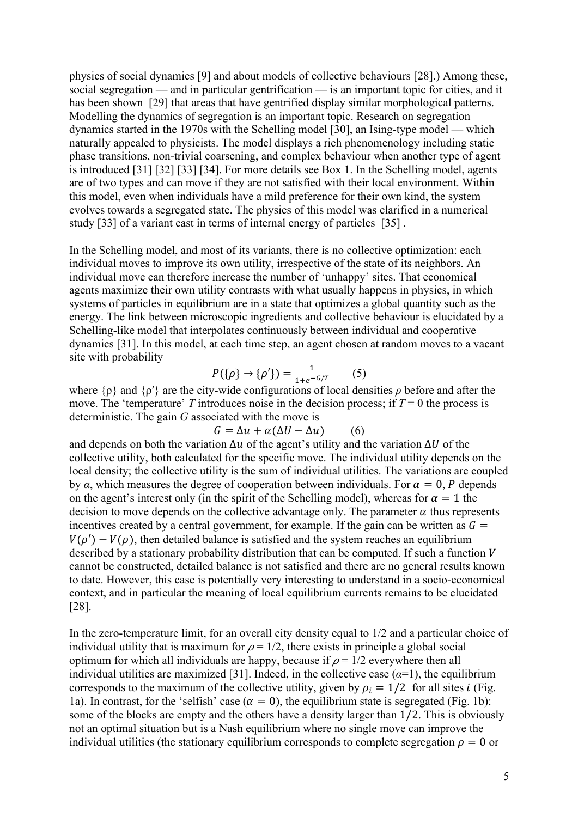physics of social dynamics [9] and about models of collective behaviours [28].) Among these, social segregation — and in particular gentrification — is an important topic for cities, and it has been shown [29] that areas that have gentrified display similar morphological patterns. Modelling the dynamics of segregation is an important topic. Research on segregation dynamics started in the 1970s with the Schelling model [30], an Ising-type model — which naturally appealed to physicists. The model displays a rich phenomenology including static phase transitions, non-trivial coarsening, and complex behaviour when another type of agent is introduced [31] [32] [33] [34]. For more details see Box 1. In the Schelling model, agents are of two types and can move if they are not satisfied with their local environment. Within this model, even when individuals have a mild preference for their own kind, the system evolves towards a segregated state. The physics of this model was clarified in a numerical study [33] of a variant cast in terms of internal energy of particles [35] .

In the Schelling model, and most of its variants, there is no collective optimization: each individual moves to improve its own utility, irrespective of the state of its neighbors. An individual move can therefore increase the number of 'unhappy' sites. That economical agents maximize their own utility contrasts with what usually happens in physics, in which systems of particles in equilibrium are in a state that optimizes a global quantity such as the energy. The link between microscopic ingredients and collective behaviour is elucidated by a Schelling-like model that interpolates continuously between individual and cooperative dynamics [31]. In this model, at each time step, an agent chosen at random moves to a vacant site with probability

$$
P(\{\rho\} \to \{\rho'\}) = \frac{1}{1 + e^{-G/T}} \tag{5}
$$

where {ρ} and {ρ′} are the city-wide configurations of local densities *ρ* before and after the move. The 'temperature' *T* introduces noise in the decision process; if  $T = 0$  the process is deterministic. The gain *G* associated with the move is

$$
G = \Delta u + \alpha(\Delta U - \Delta u) \tag{6}
$$

and depends on both the variation  $\Delta u$  of the agent's utility and the variation  $\Delta U$  of the collective utility, both calculated for the specific move. The individual utility depends on the local density; the collective utility is the sum of individual utilities. The variations are coupled by  $\alpha$ , which measures the degree of cooperation between individuals. For  $\alpha = 0$ , P depends on the agent's interest only (in the spirit of the Schelling model), whereas for  $\alpha = 1$  the decision to move depends on the collective advantage only. The parameter  $\alpha$  thus represents incentives created by a central government, for example. If the gain can be written as  $G =$  $V(\rho') - V(\rho)$ , then detailed balance is satisfied and the system reaches an equilibrium described by a stationary probability distribution that can be computed. If such a function  $V$ cannot be constructed, detailed balance is not satisfied and there are no general results known to date. However, this case is potentially very interesting to understand in a socio-economical context, and in particular the meaning of local equilibrium currents remains to be elucidated [28].

In the zero-temperature limit, for an overall city density equal to 1/2 and a particular choice of individual utility that is maximum for  $\rho = 1/2$ , there exists in principle a global social optimum for which all individuals are happy, because if  $\rho = 1/2$  everywhere then all individual utilities are maximized [31]. Indeed, in the collective case  $(a=1)$ , the equilibrium corresponds to the maximum of the collective utility, given by  $\rho_i = 1/2$  for all sites *i* (Fig. 1a). In contrast, for the 'selfish' case ( $\alpha = 0$ ), the equilibrium state is segregated (Fig. 1b): some of the blocks are empty and the others have a density larger than 1/2. This is obviously not an optimal situation but is a Nash equilibrium where no single move can improve the individual utilities (the stationary equilibrium corresponds to complete segregation  $\rho = 0$  or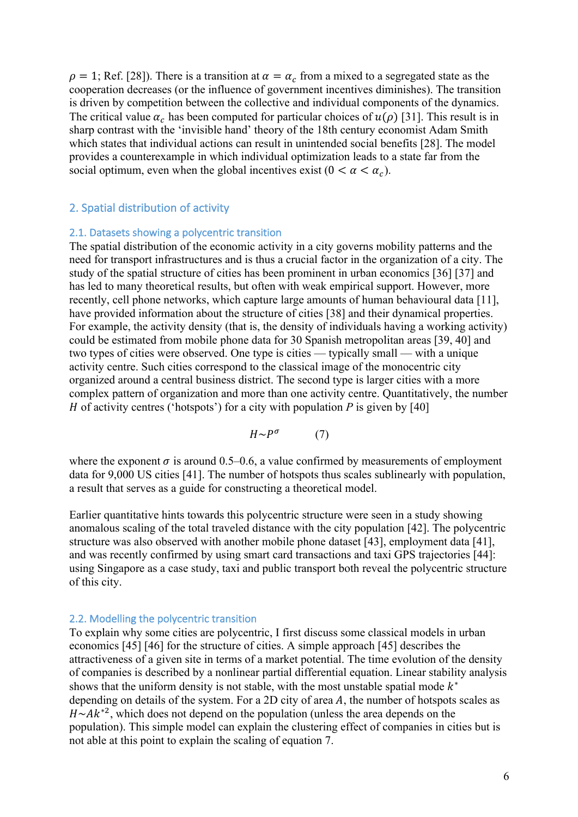$\rho = 1$ ; Ref. [28]). There is a transition at  $\alpha = \alpha_c$  from a mixed to a segregated state as the cooperation decreases (or the influence of government incentives diminishes). The transition is driven by competition between the collective and individual components of the dynamics. The critical value  $\alpha_c$  has been computed for particular choices of  $u(\rho)$  [31]. This result is in sharp contrast with the 'invisible hand' theory of the 18th century economist Adam Smith which states that individual actions can result in unintended social benefits [28]. The model provides a counterexample in which individual optimization leads to a state far from the social optimum, even when the global incentives exist ( $0 < \alpha < \alpha_c$ ).

## 2. Spatial distribution of activity

#### 2.1. Datasets showing a polycentric transition

The spatial distribution of the economic activity in a city governs mobility patterns and the need for transport infrastructures and is thus a crucial factor in the organization of a city. The study of the spatial structure of cities has been prominent in urban economics [36] [37] and has led to many theoretical results, but often with weak empirical support. However, more recently, cell phone networks, which capture large amounts of human behavioural data [11], have provided information about the structure of cities [38] and their dynamical properties. For example, the activity density (that is, the density of individuals having a working activity) could be estimated from mobile phone data for 30 Spanish metropolitan areas [39, 40] and two types of cities were observed. One type is cities — typically small — with a unique activity centre. Such cities correspond to the classical image of the monocentric city organized around a central business district. The second type is larger cities with a more complex pattern of organization and more than one activity centre. Quantitatively, the number *H* of activity centres ('hotspots') for a city with population *P* is given by [40]

$$
H \sim P^{\sigma} \tag{7}
$$

where the exponent  $\sigma$  is around 0.5–0.6, a value confirmed by measurements of employment data for 9,000 US cities [41]. The number of hotspots thus scales sublinearly with population, a result that serves as a guide for constructing a theoretical model.

Earlier quantitative hints towards this polycentric structure were seen in a study showing anomalous scaling of the total traveled distance with the city population [42]. The polycentric structure was also observed with another mobile phone dataset [43], employment data [41], and was recently confirmed by using smart card transactions and taxi GPS trajectories [44]: using Singapore as a case study, taxi and public transport both reveal the polycentric structure of this city.

#### 2.2. Modelling the polycentric transition

To explain why some cities are polycentric, I first discuss some classical models in urban economics [45] [46] for the structure of cities. A simple approach [45] describes the attractiveness of a given site in terms of a market potential. The time evolution of the density of companies is described by a nonlinear partial differential equation. Linear stability analysis shows that the uniform density is not stable, with the most unstable spatial mode  $k^*$ depending on details of the system. For a 2D city of area  $A$ , the number of hotspots scales as  $H \sim A k^{*2}$ , which does not depend on the population (unless the area depends on the population). This simple model can explain the clustering effect of companies in cities but is not able at this point to explain the scaling of equation 7.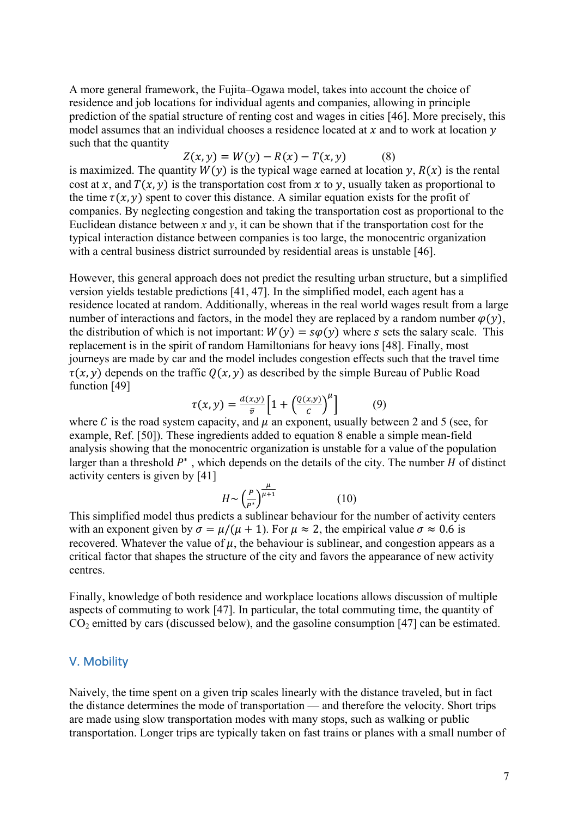A more general framework, the Fujita–Ogawa model, takes into account the choice of residence and job locations for individual agents and companies, allowing in principle prediction of the spatial structure of renting cost and wages in cities [46]. More precisely, this model assumes that an individual chooses a residence located at  $x$  and to work at location  $y$ such that the quantity

$$
Z(x, y) = W(y) - R(x) - T(x, y)
$$
 (8)

is maximized. The quantity  $W(y)$  is the typical wage earned at location y,  $R(x)$  is the rental cost at x, and  $T(x, y)$  is the transportation cost from x to y, usually taken as proportional to the time  $\tau(x, y)$  spent to cover this distance. A similar equation exists for the profit of companies. By neglecting congestion and taking the transportation cost as proportional to the Euclidean distance between  $x$  and  $y$ , it can be shown that if the transportation cost for the typical interaction distance between companies is too large, the monocentric organization with a central business district surrounded by residential areas is unstable [46].

However, this general approach does not predict the resulting urban structure, but a simplified version yields testable predictions [41, 47]. In the simplified model, each agent has a residence located at random. Additionally, whereas in the real world wages result from a large number of interactions and factors, in the model they are replaced by a random number  $\varphi(y)$ , the distribution of which is not important:  $W(y) = s\varphi(y)$  where s sets the salary scale. This replacement is in the spirit of random Hamiltonians for heavy ions [48]. Finally, most journeys are made by car and the model includes congestion effects such that the travel time  $\tau(x, y)$  depends on the traffic  $O(x, y)$  as described by the simple Bureau of Public Road function [49]

$$
\tau(x,y) = \frac{d(x,y)}{\bar{v}} \left[ 1 + \left( \frac{Q(x,y)}{c} \right)^{\mu} \right] \tag{9}
$$

where C is the road system capacity, and  $\mu$  an exponent, usually between 2 and 5 (see, for example, Ref. [50]). These ingredients added to equation 8 enable a simple mean-field analysis showing that the monocentric organization is unstable for a value of the population larger than a threshold  $P^*$ , which depends on the details of the city. The number *H* of distinct activity centers is given by [41]

$$
H \sim \left(\frac{P}{P^*}\right)^{\frac{\mu}{\mu+1}}\tag{10}
$$

This simplified model thus predicts a sublinear behaviour for the number of activity centers with an exponent given by  $\sigma = \mu/(\mu + 1)$ . For  $\mu \approx 2$ , the empirical value  $\sigma \approx 0.6$  is recovered. Whatever the value of  $\mu$ , the behaviour is sublinear, and congestion appears as a critical factor that shapes the structure of the city and favors the appearance of new activity centres.

Finally, knowledge of both residence and workplace locations allows discussion of multiple aspects of commuting to work [47]. In particular, the total commuting time, the quantity of  $CO<sub>2</sub>$  emitted by cars (discussed below), and the gasoline consumption [47] can be estimated.

#### V. Mobility

Naively, the time spent on a given trip scales linearly with the distance traveled, but in fact the distance determines the mode of transportation — and therefore the velocity. Short trips are made using slow transportation modes with many stops, such as walking or public transportation. Longer trips are typically taken on fast trains or planes with a small number of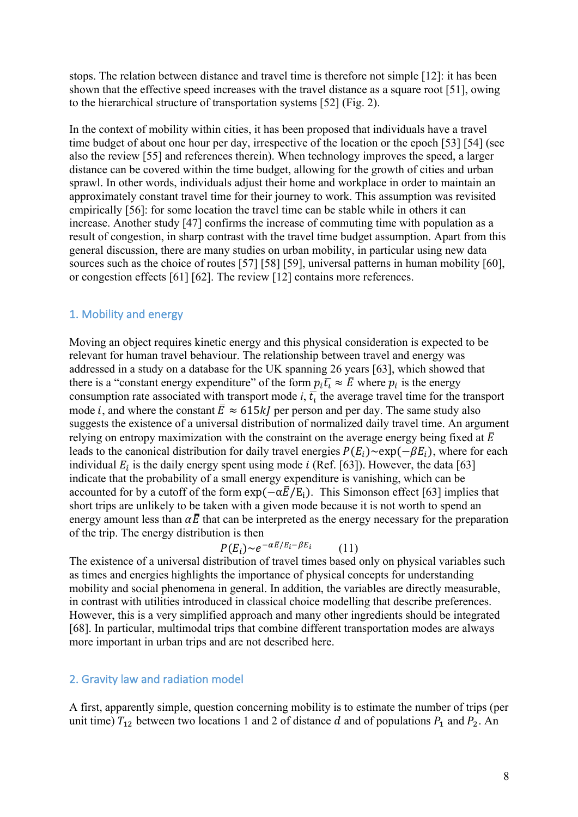stops. The relation between distance and travel time is therefore not simple [12]: it has been shown that the effective speed increases with the travel distance as a square root [51], owing to the hierarchical structure of transportation systems [52] (Fig. 2).

In the context of mobility within cities, it has been proposed that individuals have a travel time budget of about one hour per day, irrespective of the location or the epoch [53] [54] (see also the review [55] and references therein). When technology improves the speed, a larger distance can be covered within the time budget, allowing for the growth of cities and urban sprawl. In other words, individuals adjust their home and workplace in order to maintain an approximately constant travel time for their journey to work. This assumption was revisited empirically [56]: for some location the travel time can be stable while in others it can increase. Another study [47] confirms the increase of commuting time with population as a result of congestion, in sharp contrast with the travel time budget assumption. Apart from this general discussion, there are many studies on urban mobility, in particular using new data sources such as the choice of routes [57] [58] [59], universal patterns in human mobility [60], or congestion effects [61] [62]. The review [12] contains more references.

## 1. Mobility and energy

Moving an object requires kinetic energy and this physical consideration is expected to be relevant for human travel behaviour. The relationship between travel and energy was addressed in a study on a database for the UK spanning 26 years [63], which showed that there is a "constant energy expenditure" of the form  $p_i \overline{t_i} \approx \overline{E}$  where  $p_i$  is the energy consumption rate associated with transport mode  $i$ ,  $\overline{t}_i$  the average travel time for the transport mode *i*, and where the constant  $\bar{E} \approx 615 k$  per person and per day. The same study also suggests the existence of a universal distribution of normalized daily travel time. An argument relying on entropy maximization with the constraint on the average energy being fixed at  $\overline{E}$ leads to the canonical distribution for daily travel energies  $P(E_i) \sim \exp(-\beta E_i)$ , where for each individual  $E_i$  is the daily energy spent using mode *i* (Ref. [63]). However, the data [63] indicate that the probability of a small energy expenditure is vanishing, which can be accounted for by a cutoff of the form  $\exp(-\alpha \bar{E}/E_i)$ . This Simonson effect [63] implies that short trips are unlikely to be taken with a given mode because it is not worth to spend an energy amount less than  $\alpha \bar{E}$  that can be interpreted as the energy necessary for the preparation of the trip. The energy distribution is then

$$
P(E_i) \sim e^{-\alpha \bar{E}/E_i - \beta E_i} \tag{11}
$$

The existence of a universal distribution of travel times based only on physical variables such as times and energies highlights the importance of physical concepts for understanding mobility and social phenomena in general. In addition, the variables are directly measurable, in contrast with utilities introduced in classical choice modelling that describe preferences. However, this is a very simplified approach and many other ingredients should be integrated [68]. In particular, multimodal trips that combine different transportation modes are always more important in urban trips and are not described here.

#### 2. Gravity law and radiation model

A first, apparently simple, question concerning mobility is to estimate the number of trips (per unit time)  $T_{12}$  between two locations 1 and 2 of distance d and of populations  $P_1$  and  $P_2$ . An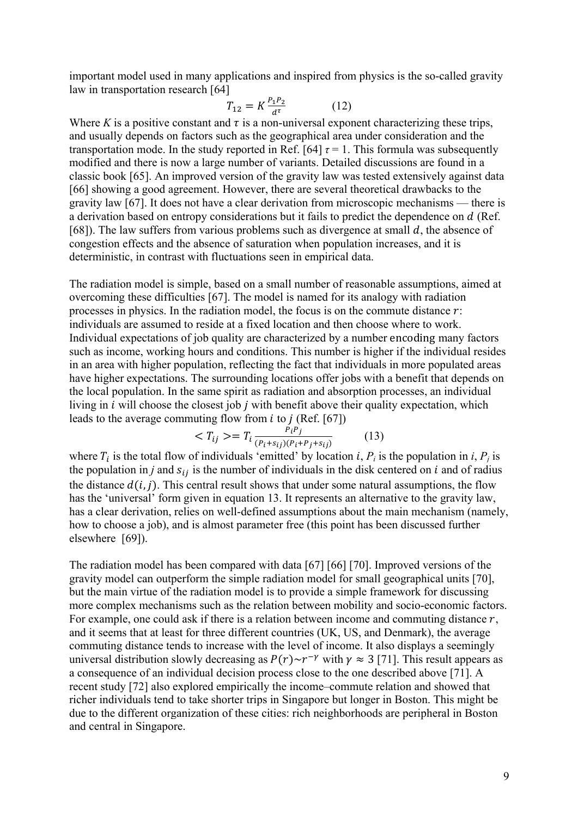important model used in many applications and inspired from physics is the so-called gravity law in transportation research [64]

$$
T_{12} = K \frac{P_1 P_2}{d^{\tau}} \tag{12}
$$

Where *K* is a positive constant and  $\tau$  is a non-universal exponent characterizing these trips, and usually depends on factors such as the geographical area under consideration and the transportation mode. In the study reported in Ref. [64]  $\tau$  = 1. This formula was subsequently modified and there is now a large number of variants. Detailed discussions are found in a classic book [65]. An improved version of the gravity law was tested extensively against data [66] showing a good agreement. However, there are several theoretical drawbacks to the gravity law [67]. It does not have a clear derivation from microscopic mechanisms — there is a derivation based on entropy considerations but it fails to predict the dependence on d (Ref. [68]). The law suffers from various problems such as divergence at small  $d$ , the absence of congestion effects and the absence of saturation when population increases, and it is deterministic, in contrast with fluctuations seen in empirical data.

The radiation model is simple, based on a small number of reasonable assumptions, aimed at overcoming these difficulties [67]. The model is named for its analogy with radiation processes in physics. In the radiation model, the focus is on the commute distance  $r$ . individuals are assumed to reside at a fixed location and then choose where to work. Individual expectations of job quality are characterized by a number encoding many factors such as income, working hours and conditions. This number is higher if the individual resides in an area with higher population, reflecting the fact that individuals in more populated areas have higher expectations. The surrounding locations offer jobs with a benefit that depends on the local population. In the same spirit as radiation and absorption processes, an individual living in  $i$  will choose the closest job  $j$  with benefit above their quality expectation, which leads to the average commuting flow from  $i$  to  $j$  (Ref. [67])

$$
\langle T_{ij} \rangle = T_i \frac{P_i P_j}{(P_i + s_{ij})(P_i + P_j + s_{ij})} \tag{13}
$$

where  $T_i$  is the total flow of individuals 'emitted' by location *i*,  $P_i$  is the population in *i*,  $P_j$  is the population in *j* and  $s_{ij}$  is the number of individuals in the disk centered on  $i$  and of radius the distance  $d(i, j)$ . This central result shows that under some natural assumptions, the flow has the 'universal' form given in equation 13. It represents an alternative to the gravity law, has a clear derivation, relies on well-defined assumptions about the main mechanism (namely, how to choose a job), and is almost parameter free (this point has been discussed further elsewhere [69]).

The radiation model has been compared with data [67] [66] [70]. Improved versions of the gravity model can outperform the simple radiation model for small geographical units [70], but the main virtue of the radiation model is to provide a simple framework for discussing more complex mechanisms such as the relation between mobility and socio-economic factors. For example, one could ask if there is a relation between income and commuting distance  $r$ , and it seems that at least for three different countries (UK, US, and Denmark), the average commuting distance tends to increase with the level of income. It also displays a seemingly universal distribution slowly decreasing as  $P(r) \sim r^{-\gamma}$  with  $\gamma \approx 3$  [71]. This result appears as a consequence of an individual decision process close to the one described above [71]. A recent study [72] also explored empirically the income–commute relation and showed that richer individuals tend to take shorter trips in Singapore but longer in Boston. This might be due to the different organization of these cities: rich neighborhoods are peripheral in Boston and central in Singapore.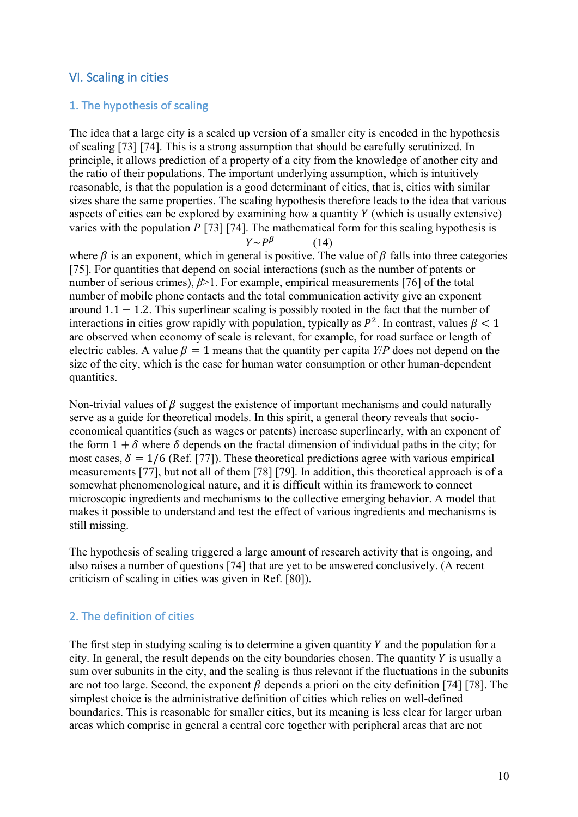## VI. Scaling in cities

#### 1. The hypothesis of scaling

The idea that a large city is a scaled up version of a smaller city is encoded in the hypothesis of scaling [73] [74]. This is a strong assumption that should be carefully scrutinized. In principle, it allows prediction of a property of a city from the knowledge of another city and the ratio of their populations. The important underlying assumption, which is intuitively reasonable, is that the population is a good determinant of cities, that is, cities with similar sizes share the same properties. The scaling hypothesis therefore leads to the idea that various aspects of cities can be explored by examining how a quantity  $Y$  (which is usually extensive) varies with the population  $P$  [73] [74]. The mathematical form for this scaling hypothesis is  $Y \sim P^{\beta}$  (14)

where  $\beta$  is an exponent, which in general is positive. The value of  $\beta$  falls into three categories [75]. For quantities that depend on social interactions (such as the number of patents or number of serious crimes), *β*>1. For example, empirical measurements [76] of the total number of mobile phone contacts and the total communication activity give an exponent around  $1.1 - 1.2$ . This superlinear scaling is possibly rooted in the fact that the number of interactions in cities grow rapidly with population, typically as  $P^2$ . In contrast, values  $\beta < 1$ are observed when economy of scale is relevant, for example, for road surface or length of electric cables. A value  $\beta = 1$  means that the quantity per capita *Y*/*P* does not depend on the size of the city, which is the case for human water consumption or other human-dependent quantities.

Non-trivial values of  $\beta$  suggest the existence of important mechanisms and could naturally serve as a guide for theoretical models. In this spirit, a general theory reveals that socioeconomical quantities (such as wages or patents) increase superlinearly, with an exponent of the form  $1 + \delta$  where  $\delta$  depends on the fractal dimension of individual paths in the city; for most cases,  $\delta = 1/6$  (Ref. [77]). These theoretical predictions agree with various empirical measurements [77], but not all of them [78] [79]. In addition, this theoretical approach is of a somewhat phenomenological nature, and it is difficult within its framework to connect microscopic ingredients and mechanisms to the collective emerging behavior. A model that makes it possible to understand and test the effect of various ingredients and mechanisms is still missing.

The hypothesis of scaling triggered a large amount of research activity that is ongoing, and also raises a number of questions [74] that are yet to be answered conclusively. (A recent criticism of scaling in cities was given in Ref. [80]).

#### 2. The definition of cities

The first step in studying scaling is to determine a given quantity  $Y$  and the population for a city. In general, the result depends on the city boundaries chosen. The quantity  $Y$  is usually a sum over subunits in the city, and the scaling is thus relevant if the fluctuations in the subunits are not too large. Second, the exponent  $\beta$  depends a priori on the city definition [74] [78]. The simplest choice is the administrative definition of cities which relies on well-defined boundaries. This is reasonable for smaller cities, but its meaning is less clear for larger urban areas which comprise in general a central core together with peripheral areas that are not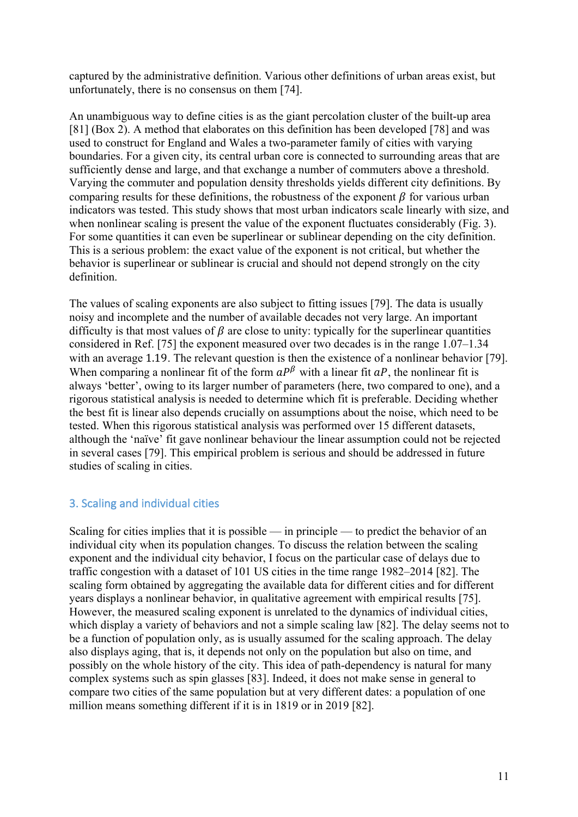captured by the administrative definition. Various other definitions of urban areas exist, but unfortunately, there is no consensus on them [74].

An unambiguous way to define cities is as the giant percolation cluster of the built-up area [81] (Box 2). A method that elaborates on this definition has been developed [78] and was used to construct for England and Wales a two-parameter family of cities with varying boundaries. For a given city, its central urban core is connected to surrounding areas that are sufficiently dense and large, and that exchange a number of commuters above a threshold. Varying the commuter and population density thresholds yields different city definitions. By comparing results for these definitions, the robustness of the exponent  $\beta$  for various urban indicators was tested. This study shows that most urban indicators scale linearly with size, and when nonlinear scaling is present the value of the exponent fluctuates considerably (Fig. 3). For some quantities it can even be superlinear or sublinear depending on the city definition. This is a serious problem: the exact value of the exponent is not critical, but whether the behavior is superlinear or sublinear is crucial and should not depend strongly on the city definition.

The values of scaling exponents are also subject to fitting issues [79]. The data is usually noisy and incomplete and the number of available decades not very large. An important difficulty is that most values of  $\beta$  are close to unity: typically for the superlinear quantities considered in Ref. [75] the exponent measured over two decades is in the range 1.07–1.34 with an average 1.19. The relevant question is then the existence of a nonlinear behavior [79]. When comparing a nonlinear fit of the form  $aP^{\beta}$  with a linear fit  $aP$ , the nonlinear fit is always 'better', owing to its larger number of parameters (here, two compared to one), and a rigorous statistical analysis is needed to determine which fit is preferable. Deciding whether the best fit is linear also depends crucially on assumptions about the noise, which need to be tested. When this rigorous statistical analysis was performed over 15 different datasets, although the 'naïve' fit gave nonlinear behaviour the linear assumption could not be rejected in several cases [79]. This empirical problem is serious and should be addressed in future studies of scaling in cities.

## 3. Scaling and individual cities

Scaling for cities implies that it is possible — in principle — to predict the behavior of an individual city when its population changes. To discuss the relation between the scaling exponent and the individual city behavior, I focus on the particular case of delays due to traffic congestion with a dataset of 101 US cities in the time range 1982–2014 [82]. The scaling form obtained by aggregating the available data for different cities and for different years displays a nonlinear behavior, in qualitative agreement with empirical results [75]. However, the measured scaling exponent is unrelated to the dynamics of individual cities, which display a variety of behaviors and not a simple scaling law [82]. The delay seems not to be a function of population only, as is usually assumed for the scaling approach. The delay also displays aging, that is, it depends not only on the population but also on time, and possibly on the whole history of the city. This idea of path-dependency is natural for many complex systems such as spin glasses [83]. Indeed, it does not make sense in general to compare two cities of the same population but at very different dates: a population of one million means something different if it is in 1819 or in 2019 [82].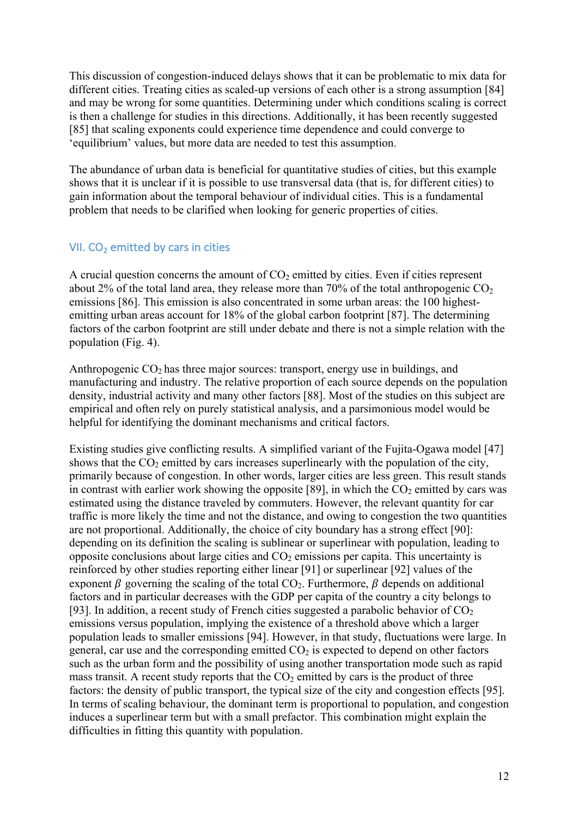This discussion of congestion-induced delays shows that it can be problematic to mix data for different cities. Treating cities as scaled-up versions of each other is a strong assumption [84] and may be wrong for some quantities. Determining under which conditions scaling is correct is then a challenge for studies in this directions. Additionally, it has been recently suggested [85] that scaling exponents could experience time dependence and could converge to 'equilibrium' values, but more data are needed to test this assumption.

The abundance of urban data is beneficial for quantitative studies of cities, but this example shows that it is unclear if it is possible to use transversal data (that is, for different cities) to gain information about the temporal behaviour of individual cities. This is a fundamental problem that needs to be clarified when looking for generic properties of cities.

## VII.  $CO<sub>2</sub>$  emitted by cars in cities

A crucial question concerns the amount of  $CO<sub>2</sub>$  emitted by cities. Even if cities represent about 2% of the total land area, they release more than 70% of the total anthropogenic  $CO<sub>2</sub>$ emissions [86]. This emission is also concentrated in some urban areas: the 100 highestemitting urban areas account for 18% of the global carbon footprint [87]. The determining factors of the carbon footprint are still under debate and there is not a simple relation with the population (Fig. 4).

Anthropogenic  $CO<sub>2</sub>$  has three major sources: transport, energy use in buildings, and manufacturing and industry. The relative proportion of each source depends on the population density, industrial activity and many other factors [88]. Most of the studies on this subject are empirical and often rely on purely statistical analysis, and a parsimonious model would be helpful for identifying the dominant mechanisms and critical factors.

Existing studies give conflicting results. A simplified variant of the Fujita-Ogawa model [47] shows that the  $CO<sub>2</sub>$  emitted by cars increases superlinearly with the population of the city. primarily because of congestion. In other words, larger cities are less green. This result stands in contrast with earlier work showing the opposite [89], in which the  $CO<sub>2</sub>$  emitted by cars was estimated using the distance traveled by commuters. However, the relevant quantity for car traffic is more likely the time and not the distance, and owing to congestion the two quantities are not proportional. Additionally, the choice of city boundary has a strong effect [90]: depending on its definition the scaling is sublinear or superlinear with population, leading to opposite conclusions about large cities and  $CO<sub>2</sub>$  emissions per capita. This uncertainty is reinforced by other studies reporting either linear [91] or superlinear [92] values of the exponent  $\beta$  governing the scaling of the total CO<sub>2</sub>. Furthermore,  $\beta$  depends on additional factors and in particular decreases with the GDP per capita of the country a city belongs to [93]. In addition, a recent study of French cities suggested a parabolic behavior of  $CO<sub>2</sub>$ emissions versus population, implying the existence of a threshold above which a larger population leads to smaller emissions [94]. However, in that study, fluctuations were large. In general, car use and the corresponding emitted  $CO<sub>2</sub>$  is expected to depend on other factors such as the urban form and the possibility of using another transportation mode such as rapid mass transit. A recent study reports that the  $CO<sub>2</sub>$  emitted by cars is the product of three factors: the density of public transport, the typical size of the city and congestion effects [95]. In terms of scaling behaviour, the dominant term is proportional to population, and congestion induces a superlinear term but with a small prefactor. This combination might explain the difficulties in fitting this quantity with population.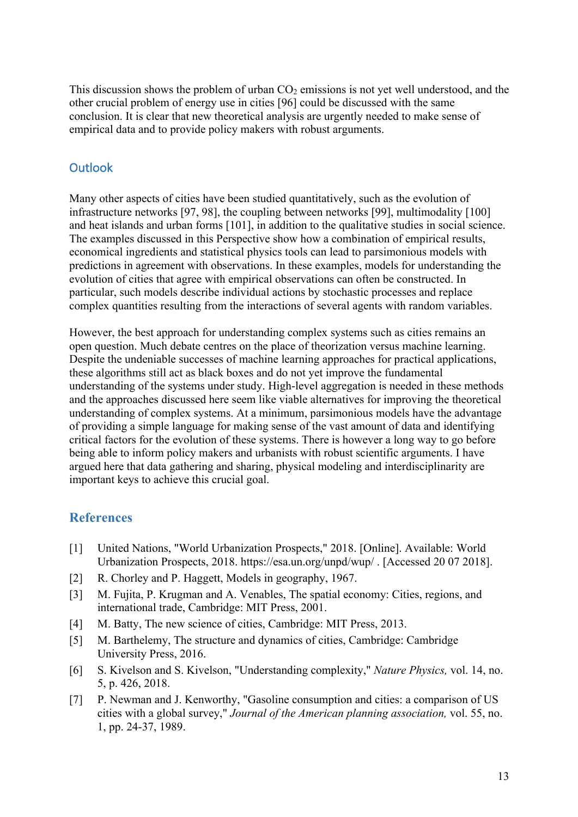This discussion shows the problem of urban  $CO<sub>2</sub>$  emissions is not yet well understood, and the other crucial problem of energy use in cities [96] could be discussed with the same conclusion. It is clear that new theoretical analysis are urgently needed to make sense of empirical data and to provide policy makers with robust arguments.

# **Outlook**

Many other aspects of cities have been studied quantitatively, such as the evolution of infrastructure networks [97, 98], the coupling between networks [99], multimodality [100] and heat islands and urban forms [101], in addition to the qualitative studies in social science. The examples discussed in this Perspective show how a combination of empirical results, economical ingredients and statistical physics tools can lead to parsimonious models with predictions in agreement with observations. In these examples, models for understanding the evolution of cities that agree with empirical observations can often be constructed. In particular, such models describe individual actions by stochastic processes and replace complex quantities resulting from the interactions of several agents with random variables.

However, the best approach for understanding complex systems such as cities remains an open question. Much debate centres on the place of theorization versus machine learning. Despite the undeniable successes of machine learning approaches for practical applications, these algorithms still act as black boxes and do not yet improve the fundamental understanding of the systems under study. High-level aggregation is needed in these methods and the approaches discussed here seem like viable alternatives for improving the theoretical understanding of complex systems. At a minimum, parsimonious models have the advantage of providing a simple language for making sense of the vast amount of data and identifying critical factors for the evolution of these systems. There is however a long way to go before being able to inform policy makers and urbanists with robust scientific arguments. I have argued here that data gathering and sharing, physical modeling and interdisciplinarity are important keys to achieve this crucial goal.

## **References**

- [1] United Nations, "World Urbanization Prospects," 2018. [Online]. Available: World Urbanization Prospects, 2018. https://esa.un.org/unpd/wup/ . [Accessed 20 07 2018].
- [2] R. Chorley and P. Haggett, Models in geography, 1967.
- [3] M. Fujita, P. Krugman and A. Venables, The spatial economy: Cities, regions, and international trade, Cambridge: MIT Press, 2001.
- [4] M. Batty, The new science of cities, Cambridge: MIT Press, 2013.
- [5] M. Barthelemy, The structure and dynamics of cities, Cambridge: Cambridge University Press, 2016.
- [6] S. Kivelson and S. Kivelson, "Understanding complexity," *Nature Physics,* vol. 14, no. 5, p. 426, 2018.
- [7] P. Newman and J. Kenworthy, "Gasoline consumption and cities: a comparison of US cities with a global survey," *Journal of the American planning association,* vol. 55, no. 1, pp. 24-37, 1989.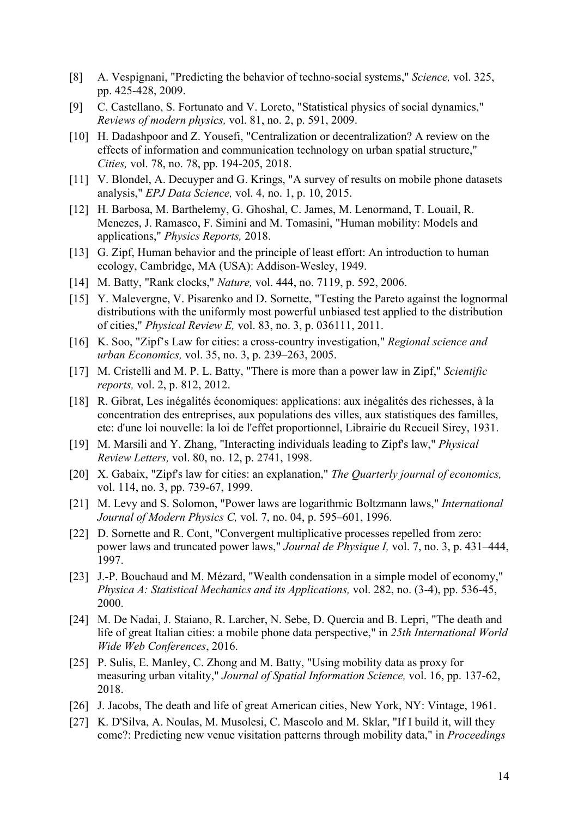- [8] A. Vespignani, "Predicting the behavior of techno-social systems," *Science,* vol. 325, pp. 425-428, 2009.
- [9] C. Castellano, S. Fortunato and V. Loreto, "Statistical physics of social dynamics," *Reviews of modern physics,* vol. 81, no. 2, p. 591, 2009.
- [10] H. Dadashpoor and Z. Yousefi, "Centralization or decentralization? A review on the effects of information and communication technology on urban spatial structure," *Cities,* vol. 78, no. 78, pp. 194-205, 2018.
- [11] V. Blondel, A. Decuyper and G. Krings, "A survey of results on mobile phone datasets analysis," *EPJ Data Science,* vol. 4, no. 1, p. 10, 2015.
- [12] H. Barbosa, M. Barthelemy, G. Ghoshal, C. James, M. Lenormand, T. Louail, R. Menezes, J. Ramasco, F. Simini and M. Tomasini, "Human mobility: Models and applications," *Physics Reports,* 2018.
- [13] G. Zipf, Human behavior and the principle of least effort: An introduction to human ecology, Cambridge, MA (USA): Addison-Wesley, 1949.
- [14] M. Batty, "Rank clocks," *Nature,* vol. 444, no. 7119, p. 592, 2006.
- [15] Y. Malevergne, V. Pisarenko and D. Sornette, "Testing the Pareto against the lognormal distributions with the uniformly most powerful unbiased test applied to the distribution of cities," *Physical Review E,* vol. 83, no. 3, p. 036111, 2011.
- [16] K. Soo, "Zipf's Law for cities: a cross-country investigation," *Regional science and urban Economics,* vol. 35, no. 3, p. 239–263, 2005.
- [17] M. Cristelli and M. P. L. Batty, "There is more than a power law in Zipf," *Scientific reports,* vol. 2, p. 812, 2012.
- [18] R. Gibrat, Les inégalités économiques: applications: aux inégalités des richesses, à la concentration des entreprises, aux populations des villes, aux statistiques des familles, etc: d'une loi nouvelle: la loi de l'effet proportionnel, Librairie du Recueil Sirey, 1931.
- [19] M. Marsili and Y. Zhang, "Interacting individuals leading to Zipf's law," *Physical Review Letters,* vol. 80, no. 12, p. 2741, 1998.
- [20] X. Gabaix, "Zipf's law for cities: an explanation," *The Quarterly journal of economics,*  vol. 114, no. 3, pp. 739-67, 1999.
- [21] M. Levy and S. Solomon, "Power laws are logarithmic Boltzmann laws," *International Journal of Modern Physics C,* vol. 7, no. 04, p. 595–601, 1996.
- [22] D. Sornette and R. Cont, "Convergent multiplicative processes repelled from zero: power laws and truncated power laws," *Journal de Physique I,* vol. 7, no. 3, p. 431–444, 1997.
- [23] J.-P. Bouchaud and M. Mézard, "Wealth condensation in a simple model of economy," *Physica A: Statistical Mechanics and its Applications,* vol. 282, no. (3-4), pp. 536-45, 2000.
- [24] M. De Nadai, J. Staiano, R. Larcher, N. Sebe, D. Quercia and B. Lepri, "The death and life of great Italian cities: a mobile phone data perspective," in *25th International World Wide Web Conferences*, 2016.
- [25] P. Sulis, E. Manley, C. Zhong and M. Batty, "Using mobility data as proxy for measuring urban vitality," *Journal of Spatial Information Science,* vol. 16, pp. 137-62, 2018.
- [26] J. Jacobs, The death and life of great American cities, New York, NY: Vintage, 1961.
- [27] K. D'Silva, A. Noulas, M. Musolesi, C. Mascolo and M. Sklar, "If I build it, will they come?: Predicting new venue visitation patterns through mobility data," in *Proceedings*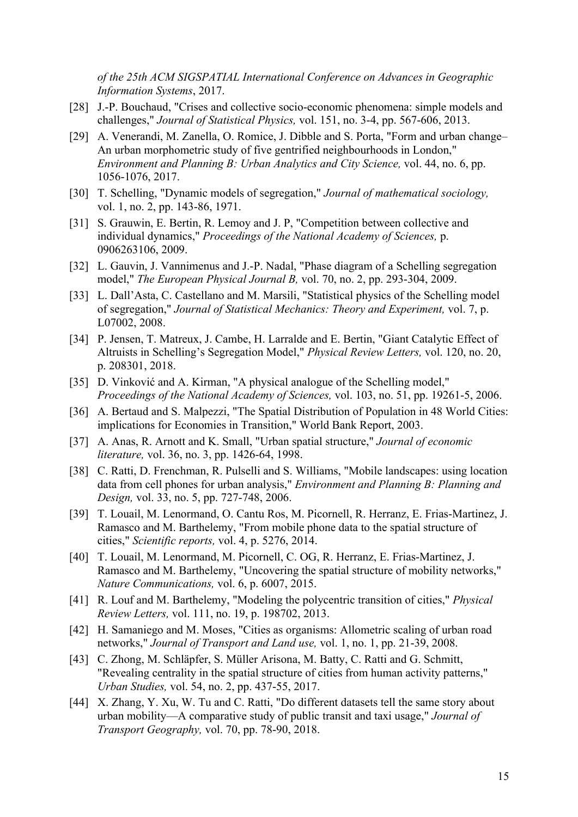*of the 25th ACM SIGSPATIAL International Conference on Advances in Geographic Information Systems*, 2017.

- [28] J.-P. Bouchaud, "Crises and collective socio-economic phenomena: simple models and challenges," *Journal of Statistical Physics,* vol. 151, no. 3-4, pp. 567-606, 2013.
- [29] A. Venerandi, M. Zanella, O. Romice, J. Dibble and S. Porta, "Form and urban change– An urban morphometric study of five gentrified neighbourhoods in London," *Environment and Planning B: Urban Analytics and City Science,* vol. 44, no. 6, pp. 1056-1076, 2017.
- [30] T. Schelling, "Dynamic models of segregation," *Journal of mathematical sociology,*  vol. 1, no. 2, pp. 143-86, 1971.
- [31] S. Grauwin, E. Bertin, R. Lemoy and J. P, "Competition between collective and individual dynamics," *Proceedings of the National Academy of Sciences,* p. 0906263106, 2009.
- [32] L. Gauvin, J. Vannimenus and J.-P. Nadal, "Phase diagram of a Schelling segregation model," *The European Physical Journal B,* vol. 70, no. 2, pp. 293-304, 2009.
- [33] L. Dall'Asta, C. Castellano and M. Marsili, "Statistical physics of the Schelling model of segregation," *Journal of Statistical Mechanics: Theory and Experiment,* vol. 7, p. L07002, 2008.
- [34] P. Jensen, T. Matreux, J. Cambe, H. Larralde and E. Bertin, "Giant Catalytic Effect of Altruists in Schelling's Segregation Model," *Physical Review Letters,* vol. 120, no. 20, p. 208301, 2018.
- [35] D. Vinković and A. Kirman, "A physical analogue of the Schelling model," *Proceedings of the National Academy of Sciences,* vol. 103, no. 51, pp. 19261-5, 2006.
- [36] A. Bertaud and S. Malpezzi, "The Spatial Distribution of Population in 48 World Cities: implications for Economies in Transition," World Bank Report, 2003.
- [37] A. Anas, R. Arnott and K. Small, "Urban spatial structure," *Journal of economic literature,* vol. 36, no. 3, pp. 1426-64, 1998.
- [38] C. Ratti, D. Frenchman, R. Pulselli and S. Williams, "Mobile landscapes: using location data from cell phones for urban analysis," *Environment and Planning B: Planning and Design,* vol. 33, no. 5, pp. 727-748, 2006.
- [39] T. Louail, M. Lenormand, O. Cantu Ros, M. Picornell, R. Herranz, E. Frias-Martinez, J. Ramasco and M. Barthelemy, "From mobile phone data to the spatial structure of cities," *Scientific reports,* vol. 4, p. 5276, 2014.
- [40] T. Louail, M. Lenormand, M. Picornell, C. OG, R. Herranz, E. Frias-Martinez, J. Ramasco and M. Barthelemy, "Uncovering the spatial structure of mobility networks," *Nature Communications,* vol. 6, p. 6007, 2015.
- [41] R. Louf and M. Barthelemy, "Modeling the polycentric transition of cities," *Physical Review Letters,* vol. 111, no. 19, p. 198702, 2013.
- [42] H. Samaniego and M. Moses, "Cities as organisms: Allometric scaling of urban road networks," *Journal of Transport and Land use,* vol. 1, no. 1, pp. 21-39, 2008.
- [43] C. Zhong, M. Schläpfer, S. Müller Arisona, M. Batty, C. Ratti and G. Schmitt, "Revealing centrality in the spatial structure of cities from human activity patterns," *Urban Studies,* vol. 54, no. 2, pp. 437-55, 2017.
- [44] X. Zhang, Y. Xu, W. Tu and C. Ratti, "Do different datasets tell the same story about urban mobility—A comparative study of public transit and taxi usage," *Journal of Transport Geography,* vol. 70, pp. 78-90, 2018.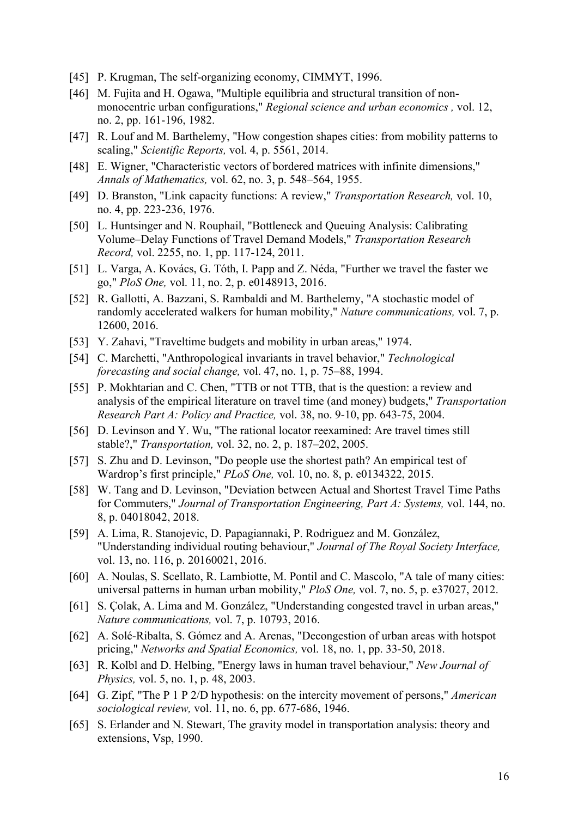- [45] P. Krugman, The self-organizing economy, CIMMYT, 1996.
- [46] M. Fujita and H. Ogawa, "Multiple equilibria and structural transition of nonmonocentric urban configurations," *Regional science and urban economics ,* vol. 12, no. 2, pp. 161-196, 1982.
- [47] R. Louf and M. Barthelemy, "How congestion shapes cities: from mobility patterns to scaling," *Scientific Reports,* vol. 4, p. 5561, 2014.
- [48] E. Wigner, "Characteristic vectors of bordered matrices with infinite dimensions," *Annals of Mathematics,* vol. 62, no. 3, p. 548–564, 1955.
- [49] D. Branston, "Link capacity functions: A review," *Transportation Research,* vol. 10, no. 4, pp. 223-236, 1976.
- [50] L. Huntsinger and N. Rouphail, "Bottleneck and Queuing Analysis: Calibrating Volume–Delay Functions of Travel Demand Models," *Transportation Research Record,* vol. 2255, no. 1, pp. 117-124, 2011.
- [51] L. Varga, A. Kovács, G. Tóth, I. Papp and Z. Néda, "Further we travel the faster we go," *PloS One,* vol. 11, no. 2, p. e0148913, 2016.
- [52] R. Gallotti, A. Bazzani, S. Rambaldi and M. Barthelemy, "A stochastic model of randomly accelerated walkers for human mobility," *Nature communications,* vol. 7, p. 12600, 2016.
- [53] Y. Zahavi, "Traveltime budgets and mobility in urban areas," 1974.
- [54] C. Marchetti, "Anthropological invariants in travel behavior," *Technological forecasting and social change,* vol. 47, no. 1, p. 75–88, 1994.
- [55] P. Mokhtarian and C. Chen, "TTB or not TTB, that is the question: a review and analysis of the empirical literature on travel time (and money) budgets," *Transportation Research Part A: Policy and Practice,* vol. 38, no. 9-10, pp. 643-75, 2004.
- [56] D. Levinson and Y. Wu, "The rational locator reexamined: Are travel times still stable?," *Transportation,* vol. 32, no. 2, p. 187–202, 2005.
- [57] S. Zhu and D. Levinson, "Do people use the shortest path? An empirical test of Wardrop's first principle," *PLoS One,* vol. 10, no. 8, p. e0134322, 2015.
- [58] W. Tang and D. Levinson, "Deviation between Actual and Shortest Travel Time Paths for Commuters," *Journal of Transportation Engineering, Part A: Systems,* vol. 144, no. 8, p. 04018042, 2018.
- [59] A. Lima, R. Stanojevic, D. Papagiannaki, P. Rodriguez and M. González, "Understanding individual routing behaviour," *Journal of The Royal Society Interface,*  vol. 13, no. 116, p. 20160021, 2016.
- [60] A. Noulas, S. Scellato, R. Lambiotte, M. Pontil and C. Mascolo, "A tale of many cities: universal patterns in human urban mobility," *PloS One,* vol. 7, no. 5, p. e37027, 2012.
- [61] S. Çolak, A. Lima and M. González, "Understanding congested travel in urban areas," *Nature communications,* vol. 7, p. 10793, 2016.
- [62] A. Solé-Ribalta, S. Gómez and A. Arenas, "Decongestion of urban areas with hotspot pricing," *Networks and Spatial Economics,* vol. 18, no. 1, pp. 33-50, 2018.
- [63] R. Kolbl and D. Helbing, "Energy laws in human travel behaviour," *New Journal of Physics,* vol. 5, no. 1, p. 48, 2003.
- [64] G. Zipf, "The P 1 P 2/D hypothesis: on the intercity movement of persons," *American sociological review,* vol. 11, no. 6, pp. 677-686, 1946.
- [65] S. Erlander and N. Stewart, The gravity model in transportation analysis: theory and extensions, Vsp, 1990.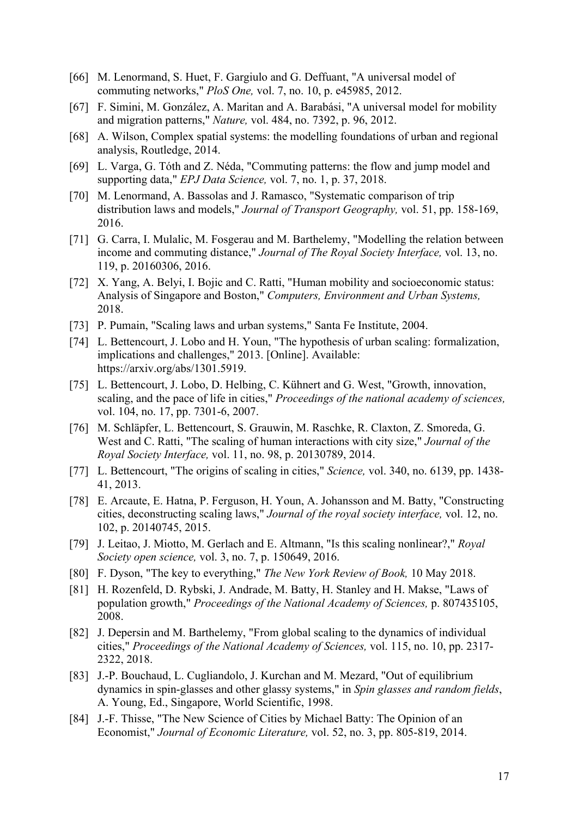- [66] M. Lenormand, S. Huet, F. Gargiulo and G. Deffuant, "A universal model of commuting networks," *PloS One,* vol. 7, no. 10, p. e45985, 2012.
- [67] F. Simini, M. González, A. Maritan and A. Barabási, "A universal model for mobility and migration patterns," *Nature,* vol. 484, no. 7392, p. 96, 2012.
- [68] A. Wilson, Complex spatial systems: the modelling foundations of urban and regional analysis, Routledge, 2014.
- [69] L. Varga, G. Tóth and Z. Néda, "Commuting patterns: the flow and jump model and supporting data," *EPJ Data Science,* vol. 7, no. 1, p. 37, 2018.
- [70] M. Lenormand, A. Bassolas and J. Ramasco, "Systematic comparison of trip distribution laws and models," *Journal of Transport Geography,* vol. 51, pp. 158-169, 2016.
- [71] G. Carra, I. Mulalic, M. Fosgerau and M. Barthelemy, "Modelling the relation between income and commuting distance," *Journal of The Royal Society Interface,* vol. 13, no. 119, p. 20160306, 2016.
- [72] X. Yang, A. Belyi, I. Bojic and C. Ratti, "Human mobility and socioeconomic status: Analysis of Singapore and Boston," *Computers, Environment and Urban Systems,*  2018.
- [73] P. Pumain, "Scaling laws and urban systems," Santa Fe Institute, 2004.
- [74] L. Bettencourt, J. Lobo and H. Youn, "The hypothesis of urban scaling: formalization, implications and challenges," 2013. [Online]. Available: https://arxiv.org/abs/1301.5919.
- [75] L. Bettencourt, J. Lobo, D. Helbing, C. Kühnert and G. West, "Growth, innovation, scaling, and the pace of life in cities," *Proceedings of the national academy of sciences,*  vol. 104, no. 17, pp. 7301-6, 2007.
- [76] M. Schläpfer, L. Bettencourt, S. Grauwin, M. Raschke, R. Claxton, Z. Smoreda, G. West and C. Ratti, "The scaling of human interactions with city size," *Journal of the Royal Society Interface,* vol. 11, no. 98, p. 20130789, 2014.
- [77] L. Bettencourt, "The origins of scaling in cities," *Science,* vol. 340, no. 6139, pp. 1438- 41, 2013.
- [78] E. Arcaute, E. Hatna, P. Ferguson, H. Youn, A. Johansson and M. Batty, "Constructing cities, deconstructing scaling laws," *Journal of the royal society interface,* vol. 12, no. 102, p. 20140745, 2015.
- [79] J. Leitao, J. Miotto, M. Gerlach and E. Altmann, "Is this scaling nonlinear?," *Royal Society open science,* vol. 3, no. 7, p. 150649, 2016.
- [80] F. Dyson, "The key to everything," *The New York Review of Book,* 10 May 2018.
- [81] H. Rozenfeld, D. Rybski, J. Andrade, M. Batty, H. Stanley and H. Makse, "Laws of population growth," *Proceedings of the National Academy of Sciences,* p. 807435105, 2008.
- [82] J. Depersin and M. Barthelemy, "From global scaling to the dynamics of individual cities," *Proceedings of the National Academy of Sciences,* vol. 115, no. 10, pp. 2317- 2322, 2018.
- [83] J.-P. Bouchaud, L. Cugliandolo, J. Kurchan and M. Mezard, "Out of equilibrium dynamics in spin-glasses and other glassy systems," in *Spin glasses and random fields*, A. Young, Ed., Singapore, World Scientific, 1998.
- [84] J.-F. Thisse, "The New Science of Cities by Michael Batty: The Opinion of an Economist," *Journal of Economic Literature,* vol. 52, no. 3, pp. 805-819, 2014.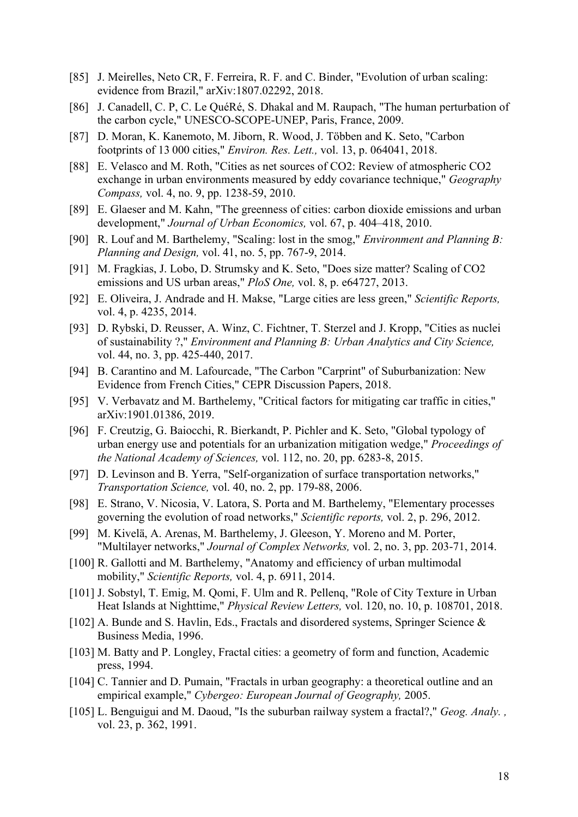- [85] J. Meirelles, Neto CR, F. Ferreira, R. F. and C. Binder, "Evolution of urban scaling: evidence from Brazil," arXiv:1807.02292, 2018.
- [86] J. Canadell, C. P, C. Le QuéRé, S. Dhakal and M. Raupach, "The human perturbation of the carbon cycle," UNESCO-SCOPE-UNEP, Paris, France, 2009.
- [87] D. Moran, K. Kanemoto, M. Jiborn, R. Wood, J. Többen and K. Seto, "Carbon footprints of 13 000 cities," *Environ. Res. Lett.,* vol. 13, p. 064041, 2018.
- [88] E. Velasco and M. Roth, "Cities as net sources of CO2: Review of atmospheric CO2 exchange in urban environments measured by eddy covariance technique," *Geography Compass,* vol. 4, no. 9, pp. 1238-59, 2010.
- [89] E. Glaeser and M. Kahn, "The greenness of cities: carbon dioxide emissions and urban development," *Journal of Urban Economics,* vol. 67, p. 404–418, 2010.
- [90] R. Louf and M. Barthelemy, "Scaling: lost in the smog," *Environment and Planning B: Planning and Design,* vol. 41, no. 5, pp. 767-9, 2014.
- [91] M. Fragkias, J. Lobo, D. Strumsky and K. Seto, "Does size matter? Scaling of CO2 emissions and US urban areas," *PloS One,* vol. 8, p. e64727, 2013.
- [92] E. Oliveira, J. Andrade and H. Makse, "Large cities are less green," *Scientific Reports,*  vol. 4, p. 4235, 2014.
- [93] D. Rybski, D. Reusser, A. Winz, C. Fichtner, T. Sterzel and J. Kropp, "Cities as nuclei of sustainability ?," *Environment and Planning B: Urban Analytics and City Science,*  vol. 44, no. 3, pp. 425-440, 2017.
- [94] B. Carantino and M. Lafourcade, "The Carbon "Carprint" of Suburbanization: New Evidence from French Cities," CEPR Discussion Papers, 2018.
- [95] V. Verbavatz and M. Barthelemy, "Critical factors for mitigating car traffic in cities," arXiv:1901.01386, 2019.
- [96] F. Creutzig, G. Baiocchi, R. Bierkandt, P. Pichler and K. Seto, "Global typology of urban energy use and potentials for an urbanization mitigation wedge," *Proceedings of the National Academy of Sciences,* vol. 112, no. 20, pp. 6283-8, 2015.
- [97] D. Levinson and B. Yerra, "Self-organization of surface transportation networks," *Transportation Science,* vol. 40, no. 2, pp. 179-88, 2006.
- [98] E. Strano, V. Nicosia, V. Latora, S. Porta and M. Barthelemy, "Elementary processes governing the evolution of road networks," *Scientific reports,* vol. 2, p. 296, 2012.
- [99] M. Kivelä, A. Arenas, M. Barthelemy, J. Gleeson, Y. Moreno and M. Porter, "Multilayer networks," *Journal of Complex Networks,* vol. 2, no. 3, pp. 203-71, 2014.
- [100] R. Gallotti and M. Barthelemy, "Anatomy and efficiency of urban multimodal mobility," *Scientific Reports,* vol. 4, p. 6911, 2014.
- [101] J. Sobstyl, T. Emig, M. Qomi, F. Ulm and R. Pellenq, "Role of City Texture in Urban Heat Islands at Nighttime," *Physical Review Letters,* vol. 120, no. 10, p. 108701, 2018.
- [102] A. Bunde and S. Havlin, Eds., Fractals and disordered systems, Springer Science & Business Media, 1996.
- [103] M. Batty and P. Longley, Fractal cities: a geometry of form and function, Academic press, 1994.
- [104] C. Tannier and D. Pumain, "Fractals in urban geography: a theoretical outline and an empirical example," *Cybergeo: European Journal of Geography,* 2005.
- [105] L. Benguigui and M. Daoud, "Is the suburban railway system a fractal?," *Geog. Analy. ,*  vol. 23, p. 362, 1991.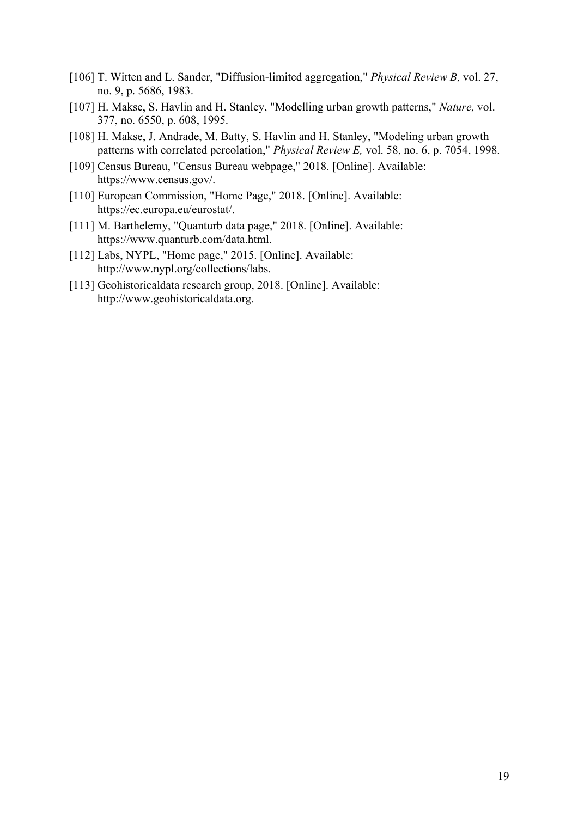- [106] T. Witten and L. Sander, "Diffusion-limited aggregation," *Physical Review B,* vol. 27, no. 9, p. 5686, 1983.
- [107] H. Makse, S. Havlin and H. Stanley, "Modelling urban growth patterns," *Nature,* vol. 377, no. 6550, p. 608, 1995.
- [108] H. Makse, J. Andrade, M. Batty, S. Havlin and H. Stanley, "Modeling urban growth patterns with correlated percolation," *Physical Review E,* vol. 58, no. 6, p. 7054, 1998.
- [109] Census Bureau, "Census Bureau webpage," 2018. [Online]. Available: https://www.census.gov/.
- [110] European Commission, "Home Page," 2018. [Online]. Available: https://ec.europa.eu/eurostat/.
- [111] M. Barthelemy, "Quanturb data page," 2018. [Online]. Available: https://www.quanturb.com/data.html.
- [112] Labs, NYPL, "Home page," 2015. [Online]. Available: http://www.nypl.org/collections/labs.
- [113] Geohistoricaldata research group, 2018. [Online]. Available: http://www.geohistoricaldata.org.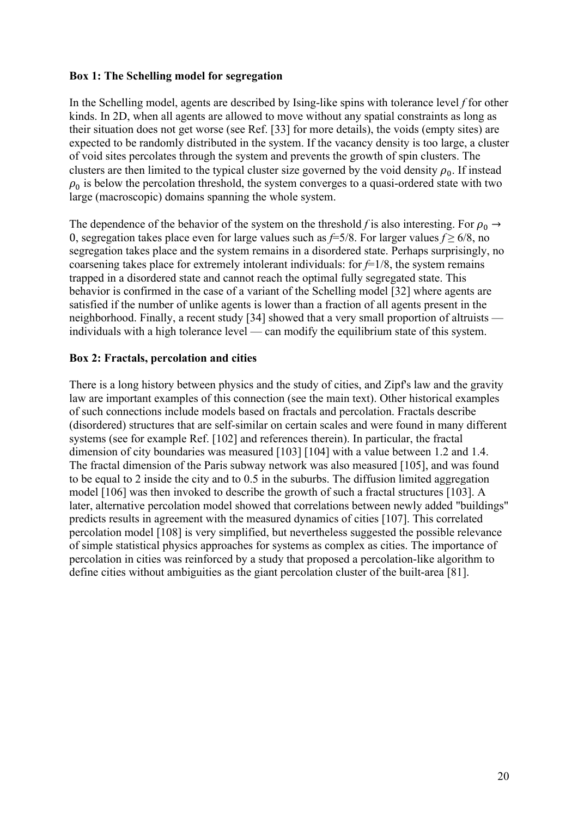### **Box 1: The Schelling model for segregation**

In the Schelling model, agents are described by Ising-like spins with tolerance level *f* for other kinds. In 2D, when all agents are allowed to move without any spatial constraints as long as their situation does not get worse (see Ref. [33] for more details), the voids (empty sites) are expected to be randomly distributed in the system. If the vacancy density is too large, a cluster of void sites percolates through the system and prevents the growth of spin clusters. The clusters are then limited to the typical cluster size governed by the void density  $\rho_0$ . If instead  $\rho_0$  is below the percolation threshold, the system converges to a quasi-ordered state with two large (macroscopic) domains spanning the whole system.

The dependence of the behavior of the system on the threshold *f* is also interesting. For  $\rho_0 \rightarrow$ 0, segregation takes place even for large values such as *f*=5/8. For larger values *f* ≥ 6/8, no segregation takes place and the system remains in a disordered state. Perhaps surprisingly, no coarsening takes place for extremely intolerant individuals: for  $f=1/8$ , the system remains trapped in a disordered state and cannot reach the optimal fully segregated state. This behavior is confirmed in the case of a variant of the Schelling model [32] where agents are satisfied if the number of unlike agents is lower than a fraction of all agents present in the neighborhood. Finally, a recent study [34] showed that a very small proportion of altruists individuals with a high tolerance level — can modify the equilibrium state of this system.

## **Box 2: Fractals, percolation and cities**

There is a long history between physics and the study of cities, and Zipf's law and the gravity law are important examples of this connection (see the main text). Other historical examples of such connections include models based on fractals and percolation. Fractals describe (disordered) structures that are self-similar on certain scales and were found in many different systems (see for example Ref. [102] and references therein). In particular, the fractal dimension of city boundaries was measured [103] [104] with a value between 1.2 and 1.4. The fractal dimension of the Paris subway network was also measured [105], and was found to be equal to 2 inside the city and to 0.5 in the suburbs. The diffusion limited aggregation model [106] was then invoked to describe the growth of such a fractal structures [103]. A later, alternative percolation model showed that correlations between newly added "buildings" predicts results in agreement with the measured dynamics of cities [107]. This correlated percolation model [108] is very simplified, but nevertheless suggested the possible relevance of simple statistical physics approaches for systems as complex as cities. The importance of percolation in cities was reinforced by a study that proposed a percolation-like algorithm to define cities without ambiguities as the giant percolation cluster of the built-area [81].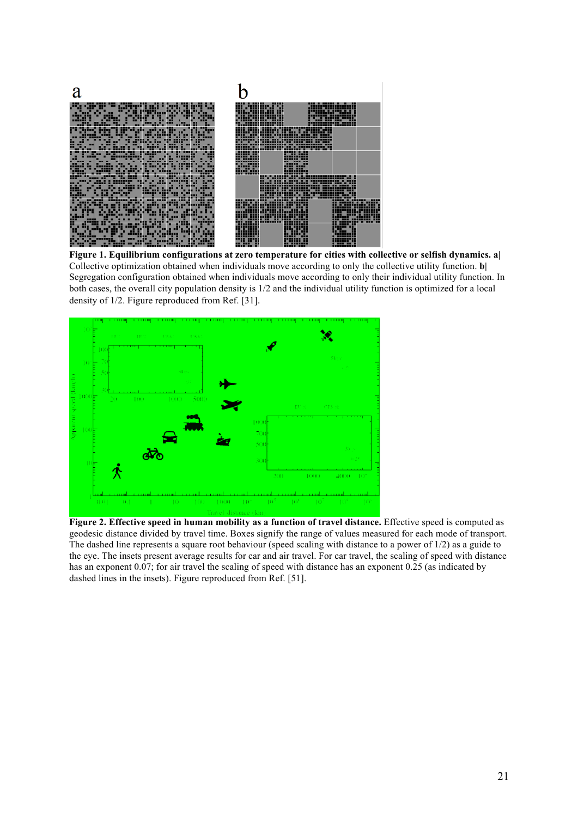

**Figure 1. Equilibrium configurations at zero temperature for cities with collective or selfish dynamics. a|** Collective optimization obtained when individuals move according to only the collective utility function. **b|** Segregation configuration obtained when individuals move according to only their individual utility function. In both cases, the overall city population density is 1/2 and the individual utility function is optimized for a local density of 1/2. Figure reproduced from Ref. [31].



**Figure 2. Effective speed in human mobility as a function of travel distance.** Effective speed is computed as geodesic distance divided by travel time. Boxes signify the range of values measured for each mode of transport. The dashed line represents a square root behaviour (speed scaling with distance to a power of 1/2) as a guide to the eye. The insets present average results for car and air travel. For car travel, the scaling of speed with distance has an exponent 0.07; for air travel the scaling of speed with distance has an exponent 0.25 (as indicated by dashed lines in the insets). Figure reproduced from Ref. [51].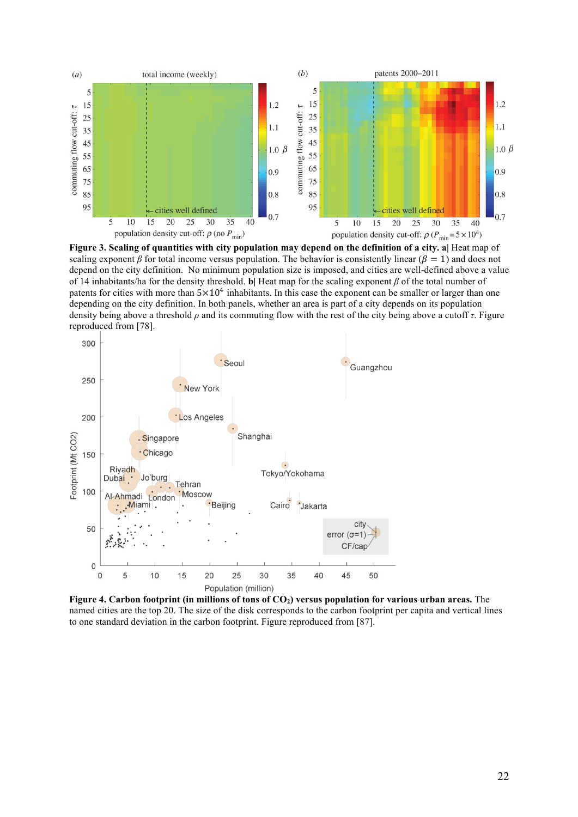

**Figure 3. Scaling of quantities with city population may depend on the definition of a city. a|** Heat map of scaling exponent *β* for total income versus population. The behavior is consistently linear ( $\beta = 1$ ) and does not depend on the city definition. No minimum population size is imposed, and cities are well-defined above a value of 14 inhabitants/ha for the density threshold. **b|** Heat map for the scaling exponent *β* of the total number of patents for cities with more than  $5\times10^4$  inhabitants. In this case the exponent can be smaller or larger than one depending on the city definition. In both panels, whether an area is part of a city depends on its population density being above a threshold *ρ* and its commuting flow with the rest of the city being above a cutoff *τ*. Figure reproduced from [78].



Figure 4. Carbon footprint (in millions of tons of CO<sub>2</sub>) versus population for various urban areas. The named cities are the top 20. The size of the disk corresponds to the carbon footprint per capita and vertical lines to one standard deviation in the carbon footprint. Figure reproduced from [87].